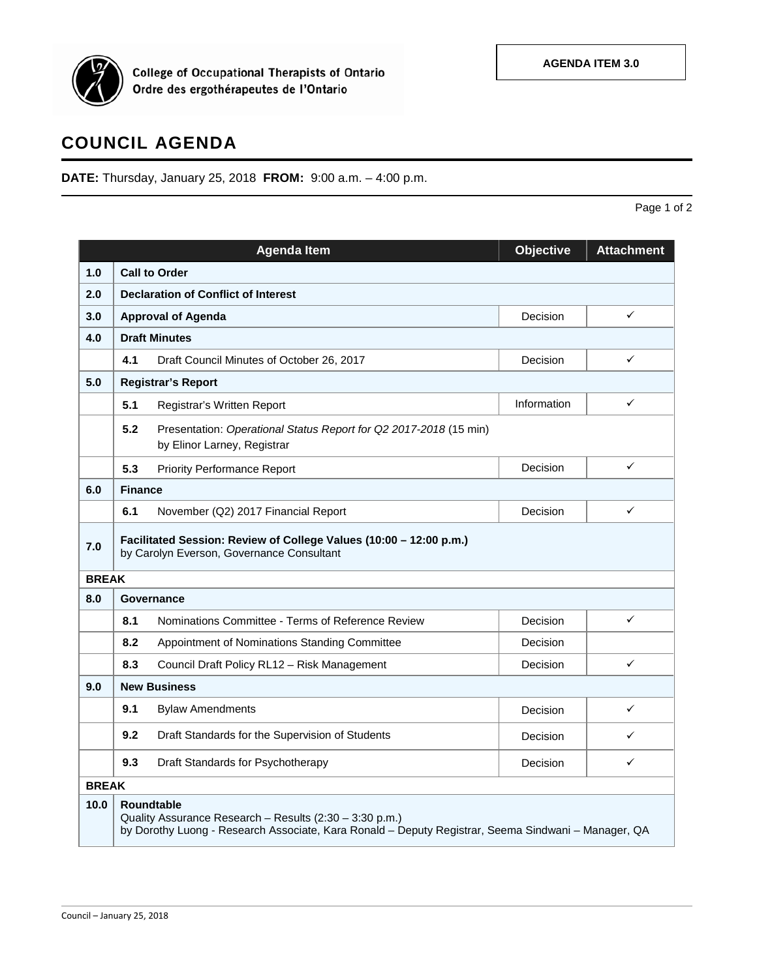

College of Occupational Therapists of Ontario<br>Ordre des ergothérapeutes de l'Ontario

## **COUNCIL AGENDA**

**DATE:** Thursday, January 25, 2018 **FROM:** 9:00 a.m. – 4:00 p.m.

Page 1 of 2

|              |                                                                                                                                                                                     | <b>Agenda Item</b>                                                                               | <b>Objective</b> | <b>Attachment</b> |  |  |  |  |
|--------------|-------------------------------------------------------------------------------------------------------------------------------------------------------------------------------------|--------------------------------------------------------------------------------------------------|------------------|-------------------|--|--|--|--|
| 1.0          | <b>Call to Order</b>                                                                                                                                                                |                                                                                                  |                  |                   |  |  |  |  |
| 2.0          | <b>Declaration of Conflict of Interest</b>                                                                                                                                          |                                                                                                  |                  |                   |  |  |  |  |
| 3.0          | <b>Approval of Agenda</b>                                                                                                                                                           |                                                                                                  | Decision         | ✓                 |  |  |  |  |
| 4.0          | <b>Draft Minutes</b>                                                                                                                                                                |                                                                                                  |                  |                   |  |  |  |  |
|              | 4.1                                                                                                                                                                                 | Draft Council Minutes of October 26, 2017                                                        | Decision         | $\checkmark$      |  |  |  |  |
| 5.0          | <b>Registrar's Report</b>                                                                                                                                                           |                                                                                                  |                  |                   |  |  |  |  |
|              | 5.1                                                                                                                                                                                 | Registrar's Written Report                                                                       | Information      | ✓                 |  |  |  |  |
|              | 5.2                                                                                                                                                                                 | Presentation: Operational Status Report for Q2 2017-2018 (15 min)<br>by Elinor Larney, Registrar |                  |                   |  |  |  |  |
|              | 5.3                                                                                                                                                                                 | <b>Priority Performance Report</b>                                                               | Decision         | ✓                 |  |  |  |  |
| 6.0          | <b>Finance</b>                                                                                                                                                                      |                                                                                                  |                  |                   |  |  |  |  |
|              | 6.1                                                                                                                                                                                 | November (Q2) 2017 Financial Report                                                              | Decision         | ✓                 |  |  |  |  |
| 7.0          | Facilitated Session: Review of College Values (10:00 - 12:00 p.m.)<br>by Carolyn Everson, Governance Consultant                                                                     |                                                                                                  |                  |                   |  |  |  |  |
|              | <b>BREAK</b>                                                                                                                                                                        |                                                                                                  |                  |                   |  |  |  |  |
| 8.0          | Governance                                                                                                                                                                          |                                                                                                  |                  |                   |  |  |  |  |
|              | 8.1                                                                                                                                                                                 | Nominations Committee - Terms of Reference Review                                                | Decision         | $\checkmark$      |  |  |  |  |
|              | 8.2                                                                                                                                                                                 | Appointment of Nominations Standing Committee                                                    | Decision         |                   |  |  |  |  |
|              | 8.3                                                                                                                                                                                 | Council Draft Policy RL12 - Risk Management                                                      | Decision         | ✓                 |  |  |  |  |
| 9.0          | <b>New Business</b>                                                                                                                                                                 |                                                                                                  |                  |                   |  |  |  |  |
|              | 9.1                                                                                                                                                                                 | <b>Bylaw Amendments</b>                                                                          | Decision         | ✓                 |  |  |  |  |
|              | 9.2                                                                                                                                                                                 | Draft Standards for the Supervision of Students                                                  | Decision         | ✓                 |  |  |  |  |
|              | 9.3                                                                                                                                                                                 | Draft Standards for Psychotherapy                                                                | Decision         | ✓                 |  |  |  |  |
| <b>BREAK</b> |                                                                                                                                                                                     |                                                                                                  |                  |                   |  |  |  |  |
| 10.0         | <b>Roundtable</b><br>Quality Assurance Research - Results (2:30 - 3:30 p.m.)<br>by Dorothy Luong - Research Associate, Kara Ronald - Deputy Registrar, Seema Sindwani - Manager, QA |                                                                                                  |                  |                   |  |  |  |  |